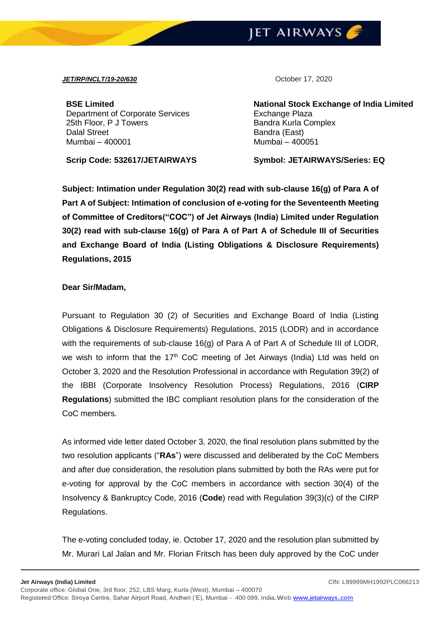## **JET AIRWAYS**

## *JET/RP/NCLT/19-20/630* October 17, 2020

**BSE Limited** Department of Corporate Services 25th Floor, P J Towers Dalal Street Mumbai – 400001

**Scrip Code: 532617/JETAIRWAYS Symbol: JETAIRWAYS/Series: EQ**

**National Stock Exchange of India Limited** Exchange Plaza Bandra Kurla Complex Bandra (East) Mumbai – 400051

**Subject: Intimation under Regulation 30(2) read with sub-clause 16(g) of Para A of Part A of Subject: Intimation of conclusion of e-voting for the Seventeenth Meeting of Committee of Creditors("COC") of Jet Airways (India) Limited under Regulation 30(2) read with sub-clause 16(g) of Para A of Part A of Schedule III of Securities and Exchange Board of India (Listing Obligations & Disclosure Requirements) Regulations, 2015** 

## **Dear Sir/Madam,**

Pursuant to Regulation 30 (2) of Securities and Exchange Board of India (Listing Obligations & Disclosure Requirements) Regulations, 2015 (LODR) and in accordance with the requirements of sub-clause 16(g) of Para A of Part A of Schedule III of LODR, we wish to inform that the  $17<sup>th</sup>$  CoC meeting of Jet Airways (India) Ltd was held on October 3, 2020 and the Resolution Professional in accordance with Regulation 39(2) of the IBBI (Corporate Insolvency Resolution Process) Regulations, 2016 (**CIRP Regulations**) submitted the IBC compliant resolution plans for the consideration of the CoC members.

As informed vide letter dated October 3, 2020, the final resolution plans submitted by the two resolution applicants ("**RAs**") were discussed and deliberated by the CoC Members and after due consideration, the resolution plans submitted by both the RAs were put for e-voting for approval by the CoC members in accordance with section 30(4) of the Insolvency & Bankruptcy Code, 2016 (**Code**) read with Regulation 39(3)(c) of the CIRP Regulations.

The e-voting concluded today, ie. October 17, 2020 and the resolution plan submitted by Mr. Murari Lal Jalan and Mr. Florian Fritsch has been duly approved by the CoC under